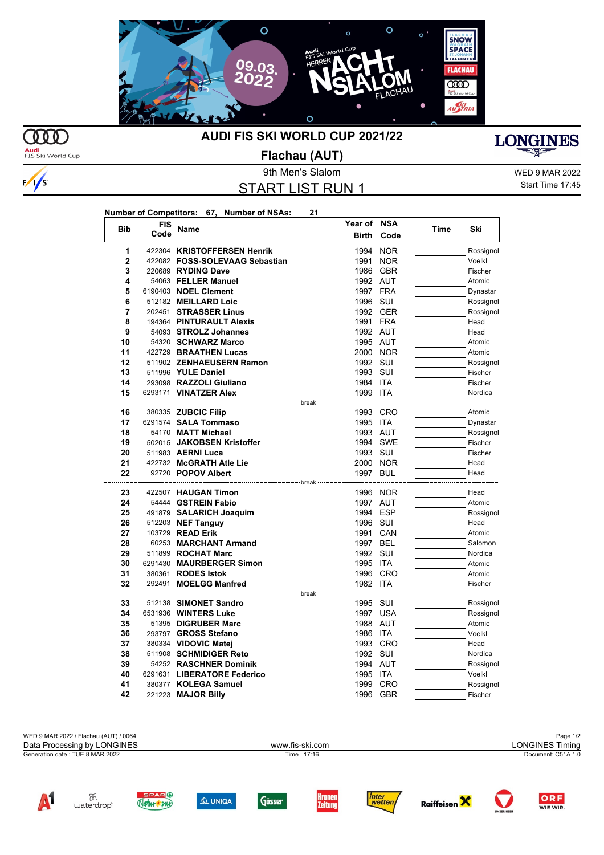

 $\Omega$ 

 $\frac{1}{s}$ 

## **AUDI FIS SKI WORLD CUP 2021/22**



**Audi**<br>FIS Ski World Cup

## **Flachau (AUT)**

WED 9 MAR 2022 Start Time 17:45

|                |        |                                            | 9th Men's Slalom        |             |      |           |
|----------------|--------|--------------------------------------------|-------------------------|-------------|------|-----------|
|                |        |                                            | <b>START LIST RUN 1</b> |             |      |           |
|                |        |                                            |                         |             |      |           |
|                |        |                                            |                         |             |      |           |
|                |        | Number of Competitors: 67, Number of NSAs: | 21                      |             |      |           |
| <b>Bib</b>     | FIS    | Name                                       |                         | Year of NSA | Time | Ski       |
|                | Code   |                                            | <b>Birth</b>            | Code        |      |           |
| 1              |        | 422304 KRISTOFFERSEN Henrik                |                         | 1994 NOR    |      | Rossignol |
| $\overline{2}$ |        | 422082 FOSS-SOLEVAAG Sebastian             | 1991                    | <b>NOR</b>  |      | Voelkl    |
| 3              |        | 220689 RYDING Dave                         |                         | 1986 GBR    |      | Fischer   |
| 4              |        | 54063 FELLER Manuel                        |                         | 1992 AUT    |      | Atomic    |
| 5              |        | 6190403 NOEL Clement                       |                         | 1997 FRA    |      | Dynastar  |
| 6              |        | 512182 MEILLARD Loic                       |                         | 1996 SUI    |      | Rossignol |
| 7              |        | 202451 STRASSER Linus                      |                         | 1992 GER    |      | Rossignol |
| 8              |        | 194364 PINTURAULT Alexis                   |                         | 1991 FRA    |      | Head      |
| 9              |        | 54093 STROLZ Johannes                      |                         | 1992 AUT    |      | Head      |
| 10             |        | 54320 SCHWARZ Marco                        |                         | 1995 AUT    |      | Atomic    |
| 11             |        | 422729 BRAATHEN Lucas                      |                         | 2000 NOR    |      | Atomic    |
| 12             |        | 511902 ZENHAEUSERN Ramon                   |                         | 1992 SUI    |      | Rossignol |
| 13             |        | 511996 YULE Daniel                         |                         | 1993 SUI    |      | Fischer   |
| 14             |        | 293098 RAZZOLI Giuliano                    |                         | 1984 ITA    |      | Fischer   |
| 15             |        | 6293171 VINATZER Alex                      |                         | 1999 ITA    |      | Nordica   |
|                |        |                                            | --- break               |             |      |           |
| 16             |        | 380335 ZUBCIC Filip                        |                         | 1993 CRO    |      | Atomic    |
| 17             |        | 6291574 SALA Tommaso                       |                         | 1995 ITA    |      | Dynastar  |
| 18             |        | 54170 MATT Michael                         |                         | 1993 AUT    |      | Rossignol |
| 19             |        | 502015 JAKOBSEN Kristoffer                 |                         | 1994 SWE    |      | Fischer   |
| 20             |        | 511983 AERNI Luca                          |                         | 1993 SUI    |      | Fischer   |
| 21             |        | 422732 McGRATH Atle Lie                    |                         | 2000 NOR    |      | Head      |
| 22             |        | 92720 POPOV Albert                         | 1997                    | <b>BUL</b>  |      | Head      |
| 23             |        | 422507 HAUGAN Timon                        | <sup>--</sup> break     | 1996 NOR    |      | Head      |
| 24             |        | 54444 GSTREIN Fabio                        |                         | 1997 AUT    |      | Atomic    |
| 25             |        | 491879 SALARICH Joaquim                    |                         | 1994 ESP    |      | Rossignol |
| 26             |        | 512203 <b>NEF Tanguy</b>                   |                         | 1996 SUI    |      | Head      |
| 27             |        | 103729 READ Erik                           |                         | 1991 CAN    |      | Atomic    |
| 28             |        | 60253 MARCHANT Armand                      |                         | 1997 BEL    |      | Salomon   |
| 29             |        | 511899 ROCHAT Marc                         |                         | 1992 SUI    |      | Nordica   |
| 30             |        | 6291430 MAURBERGER Simon                   |                         | 1995 ITA    |      | Atomic    |
| 31             |        | 380361 RODES Istok                         |                         | 1996 CRO    |      | Atomic    |
| 32             | 292491 | <b>MOELGG Manfred</b>                      |                         | 1982 ITA    |      | Fischer   |
|                |        |                                            | · break                 |             |      |           |
| 33             |        | 512138 SIMONET Sandro                      |                         | 1995 SUI    |      | Rossignol |
| 34             |        | 6531936 WINTERS Luke                       | 1997                    | <b>USA</b>  |      | Rossignol |
| 35             |        | 51395 DIGRUBER Marc                        |                         | 1988 AUT    |      | Atomic    |
| 36             |        | 293797 GROSS Stefano                       |                         | 1986 ITA    |      | Voelkl    |
| 37             |        | 380334 VIDOVIC Matei                       |                         | 1993 CRO    |      | Head      |
| 38             |        | 511908 SCHMIDIGER Reto                     |                         | 1992 SUI    |      | Nordica   |
| 39             |        | 54252 RASCHNER Dominik                     |                         | 1994 AUT    |      | Rossignol |
| 40             |        | 6291631 LIBERATORE Federico                |                         | 1995 ITA    |      | Voelkl    |
| 41             |        | 380377 KOLEGA Samuel                       |                         | 1999 CRO    |      | Rossignol |
| 42             |        | 221223 MAJOR Billy                         |                         | 1996 GBR    |      | Fischer   |

MED 9 MAR 2022 / Flachau (AUT) / 0064 Page 1/2<br>Data Processing by LONGINES **Page 1/2**<br>Data Processing by LONGINES Generation date : TUE 8 MAR 2022 Time : 17:16 Document: C51A 1.0 Data Processing by LONGINES www.fis-ski.com